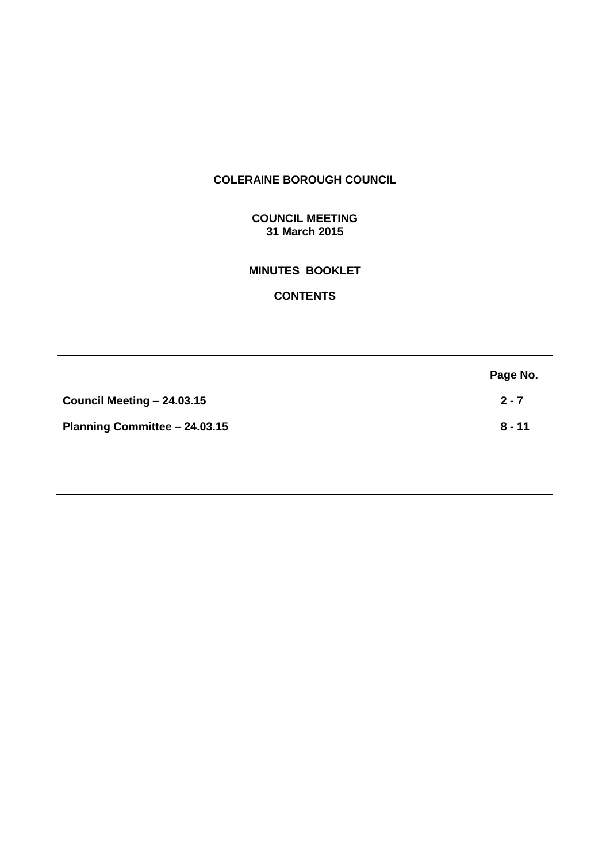# **COLERAINE BOROUGH COUNCIL**

# **COUNCIL MEETING 31 March 2015**

# **MINUTES BOOKLET**

# **CONTENTS**

|                               | Page No. |
|-------------------------------|----------|
| Council Meeting - 24.03.15    | $2 - 7$  |
| Planning Committee - 24.03.15 | $8 - 11$ |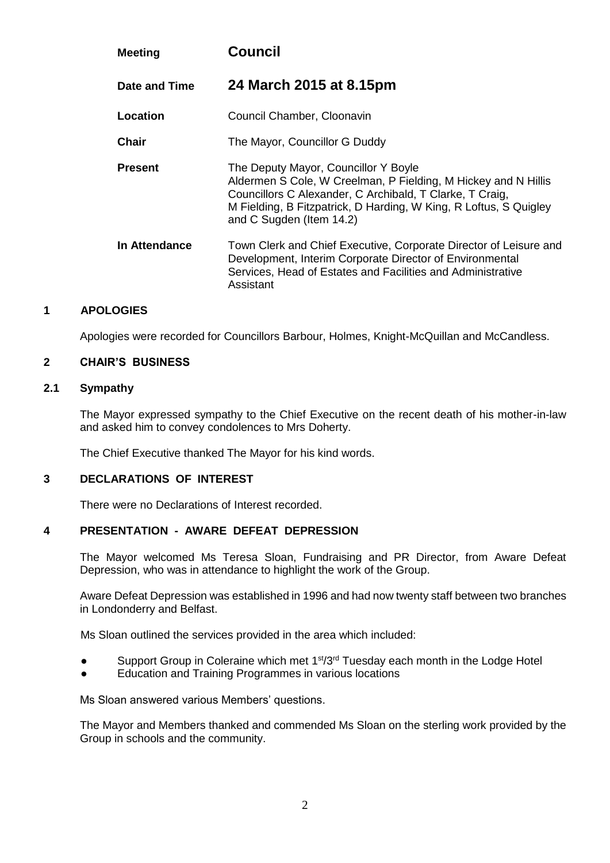| <b>Meeting</b> | <b>Council</b>                                                                                                                                                                                                                                                      |
|----------------|---------------------------------------------------------------------------------------------------------------------------------------------------------------------------------------------------------------------------------------------------------------------|
| Date and Time  | 24 March 2015 at 8.15pm                                                                                                                                                                                                                                             |
| Location       | Council Chamber, Cloonavin                                                                                                                                                                                                                                          |
| <b>Chair</b>   | The Mayor, Councillor G Duddy                                                                                                                                                                                                                                       |
| <b>Present</b> | The Deputy Mayor, Councillor Y Boyle<br>Aldermen S Cole, W Creelman, P Fielding, M Hickey and N Hillis<br>Councillors C Alexander, C Archibald, T Clarke, T Craig,<br>M Fielding, B Fitzpatrick, D Harding, W King, R Loftus, S Quigley<br>and C Sugden (Item 14.2) |
| In Attendance  | Town Clerk and Chief Executive, Corporate Director of Leisure and<br>Development, Interim Corporate Director of Environmental<br>Services, Head of Estates and Facilities and Administrative<br>Assistant                                                           |

# **1 APOLOGIES**

Apologies were recorded for Councillors Barbour, Holmes, Knight-McQuillan and McCandless.

#### **2 CHAIR'S BUSINESS**

#### **2.1 Sympathy**

The Mayor expressed sympathy to the Chief Executive on the recent death of his mother-in-law and asked him to convey condolences to Mrs Doherty.

The Chief Executive thanked The Mayor for his kind words.

#### **3 DECLARATIONS OF INTEREST**

There were no Declarations of Interest recorded.

#### **4 PRESENTATION - AWARE DEFEAT DEPRESSION**

The Mayor welcomed Ms Teresa Sloan, Fundraising and PR Director, from Aware Defeat Depression, who was in attendance to highlight the work of the Group.

Aware Defeat Depression was established in 1996 and had now twenty staff between two branches in Londonderry and Belfast.

Ms Sloan outlined the services provided in the area which included:

- Support Group in Coleraine which met  $1<sup>st</sup>/3<sup>rd</sup>$  Tuesday each month in the Lodge Hotel
- Education and Training Programmes in various locations

Ms Sloan answered various Members' questions.

The Mayor and Members thanked and commended Ms Sloan on the sterling work provided by the Group in schools and the community.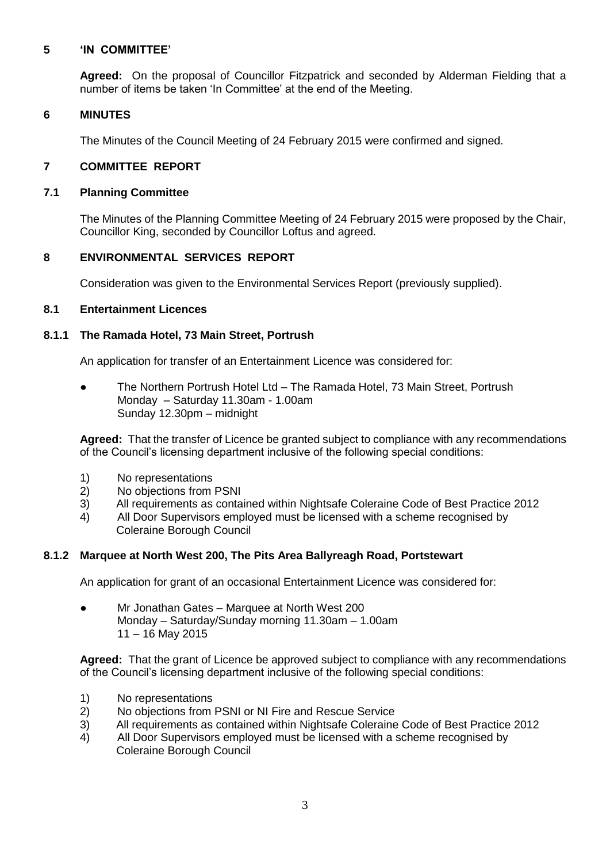# **5 'IN COMMITTEE'**

**Agreed:** On the proposal of Councillor Fitzpatrick and seconded by Alderman Fielding that a number of items be taken 'In Committee' at the end of the Meeting.

# **6 MINUTES**

The Minutes of the Council Meeting of 24 February 2015 were confirmed and signed.

# **7 COMMITTEE REPORT**

#### **7.1 Planning Committee**

The Minutes of the Planning Committee Meeting of 24 February 2015 were proposed by the Chair, Councillor King, seconded by Councillor Loftus and agreed.

# **8 ENVIRONMENTAL SERVICES REPORT**

Consideration was given to the Environmental Services Report (previously supplied).

# **8.1 Entertainment Licences**

# **8.1.1 The Ramada Hotel, 73 Main Street, Portrush**

An application for transfer of an Entertainment Licence was considered for:

The Northern Portrush Hotel Ltd – The Ramada Hotel, 73 Main Street, Portrush Monday – Saturday 11.30am - 1.00am Sunday 12.30pm – midnight

**Agreed:** That the transfer of Licence be granted subject to compliance with any recommendations of the Council's licensing department inclusive of the following special conditions:

- 1) No representations
- 2) No objections from PSNI
- 3) All requirements as contained within Nightsafe Coleraine Code of Best Practice 2012
- 4) All Door Supervisors employed must be licensed with a scheme recognised by Coleraine Borough Council

# **8.1.2 Marquee at North West 200, The Pits Area Ballyreagh Road, Portstewart**

An application for grant of an occasional Entertainment Licence was considered for:

● Mr Jonathan Gates – Marquee at North West 200 Monday – Saturday/Sunday morning 11.30am – 1.00am 11 – 16 May 2015

**Agreed:** That the grant of Licence be approved subject to compliance with any recommendations of the Council's licensing department inclusive of the following special conditions:

- 1) No representations
- 2) No objections from PSNI or NI Fire and Rescue Service
- 3) All requirements as contained within Nightsafe Coleraine Code of Best Practice 2012
- 4) All Door Supervisors employed must be licensed with a scheme recognised by Coleraine Borough Council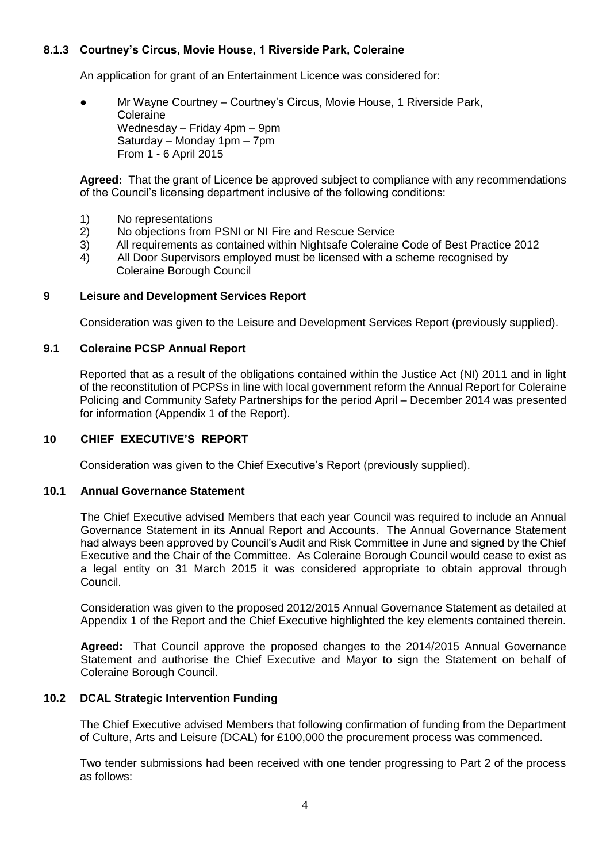# **8.1.3 Courtney's Circus, Movie House, 1 Riverside Park, Coleraine**

An application for grant of an Entertainment Licence was considered for:

Mr Wayne Courtney – Courtney's Circus, Movie House, 1 Riverside Park, **Coleraine** Wednesday – Friday 4pm – 9pm Saturday – Monday 1pm – 7pm From 1 - 6 April 2015

**Agreed:** That the grant of Licence be approved subject to compliance with any recommendations of the Council's licensing department inclusive of the following conditions:

- 1) No representations
- 2) No objections from PSNI or NI Fire and Rescue Service
- 3) All requirements as contained within Nightsafe Coleraine Code of Best Practice 2012
- 4) All Door Supervisors employed must be licensed with a scheme recognised by Coleraine Borough Council

#### **9 Leisure and Development Services Report**

Consideration was given to the Leisure and Development Services Report (previously supplied).

#### **9.1 Coleraine PCSP Annual Report**

Reported that as a result of the obligations contained within the Justice Act (NI) 2011 and in light of the reconstitution of PCPSs in line with local government reform the Annual Report for Coleraine Policing and Community Safety Partnerships for the period April – December 2014 was presented for information (Appendix 1 of the Report).

#### **10 CHIEF EXECUTIVE'S REPORT**

Consideration was given to the Chief Executive's Report (previously supplied).

#### **10.1 Annual Governance Statement**

The Chief Executive advised Members that each year Council was required to include an Annual Governance Statement in its Annual Report and Accounts. The Annual Governance Statement had always been approved by Council's Audit and Risk Committee in June and signed by the Chief Executive and the Chair of the Committee. As Coleraine Borough Council would cease to exist as a legal entity on 31 March 2015 it was considered appropriate to obtain approval through Council.

Consideration was given to the proposed 2012/2015 Annual Governance Statement as detailed at Appendix 1 of the Report and the Chief Executive highlighted the key elements contained therein.

**Agreed:** That Council approve the proposed changes to the 2014/2015 Annual Governance Statement and authorise the Chief Executive and Mayor to sign the Statement on behalf of Coleraine Borough Council.

#### **10.2 DCAL Strategic Intervention Funding**

The Chief Executive advised Members that following confirmation of funding from the Department of Culture, Arts and Leisure (DCAL) for £100,000 the procurement process was commenced.

Two tender submissions had been received with one tender progressing to Part 2 of the process as follows: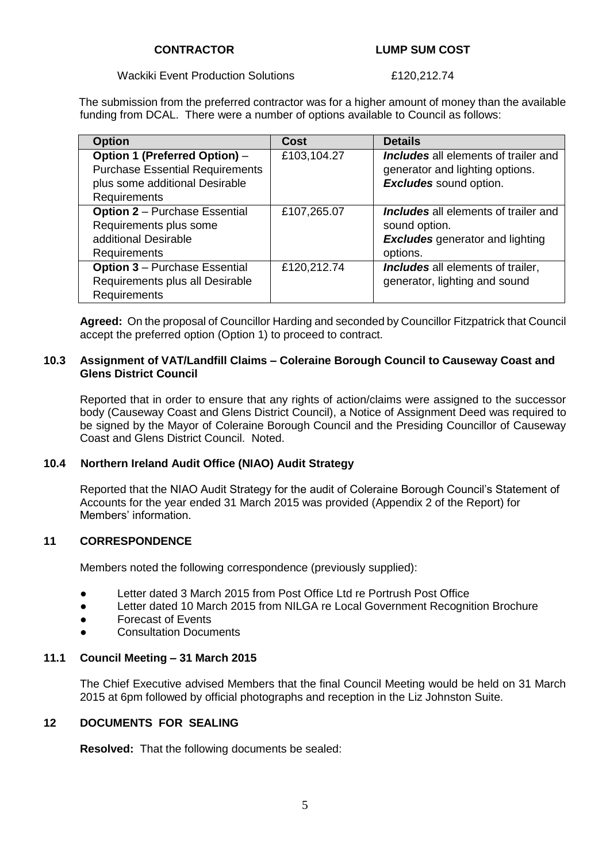#### **CONTRACTOR LUMP SUM COST**

#### Wackiki Event Production Solutions **E120,212.74**

 The submission from the preferred contractor was for a higher amount of money than the available funding from DCAL. There were a number of options available to Council as follows:

| <b>Option</b>                          | Cost        | <b>Details</b>                              |
|----------------------------------------|-------------|---------------------------------------------|
| Option 1 (Preferred Option) -          | £103,104.27 | <b>Includes</b> all elements of trailer and |
| <b>Purchase Essential Requirements</b> |             | generator and lighting options.             |
| plus some additional Desirable         |             | <b>Excludes</b> sound option.               |
| Requirements                           |             |                                             |
| <b>Option 2 - Purchase Essential</b>   | £107,265.07 | <b>Includes</b> all elements of trailer and |
| Requirements plus some                 |             | sound option.                               |
| additional Desirable                   |             | <b>Excludes</b> generator and lighting      |
| Requirements                           |             | options.                                    |
| <b>Option 3 - Purchase Essential</b>   | £120,212.74 | Includes all elements of trailer,           |
| Requirements plus all Desirable        |             | generator, lighting and sound               |
| Requirements                           |             |                                             |

**Agreed:** On the proposal of Councillor Harding and seconded by Councillor Fitzpatrick that Council accept the preferred option (Option 1) to proceed to contract.

#### **10.3 Assignment of VAT/Landfill Claims – Coleraine Borough Council to Causeway Coast and Glens District Council**

Reported that in order to ensure that any rights of action/claims were assigned to the successor body (Causeway Coast and Glens District Council), a Notice of Assignment Deed was required to be signed by the Mayor of Coleraine Borough Council and the Presiding Councillor of Causeway Coast and Glens District Council. Noted.

# **10.4 Northern Ireland Audit Office (NIAO) Audit Strategy**

Reported that the NIAO Audit Strategy for the audit of Coleraine Borough Council's Statement of Accounts for the year ended 31 March 2015 was provided (Appendix 2 of the Report) for Members' information.

# **11 CORRESPONDENCE**

Members noted the following correspondence (previously supplied):

- Letter dated 3 March 2015 from Post Office Ltd re Portrush Post Office
- Letter dated 10 March 2015 from NILGA re Local Government Recognition Brochure
- Forecast of Events
- **Consultation Documents**

# **11.1 Council Meeting – 31 March 2015**

The Chief Executive advised Members that the final Council Meeting would be held on 31 March 2015 at 6pm followed by official photographs and reception in the Liz Johnston Suite.

# **12 DOCUMENTS FOR SEALING**

**Resolved:** That the following documents be sealed: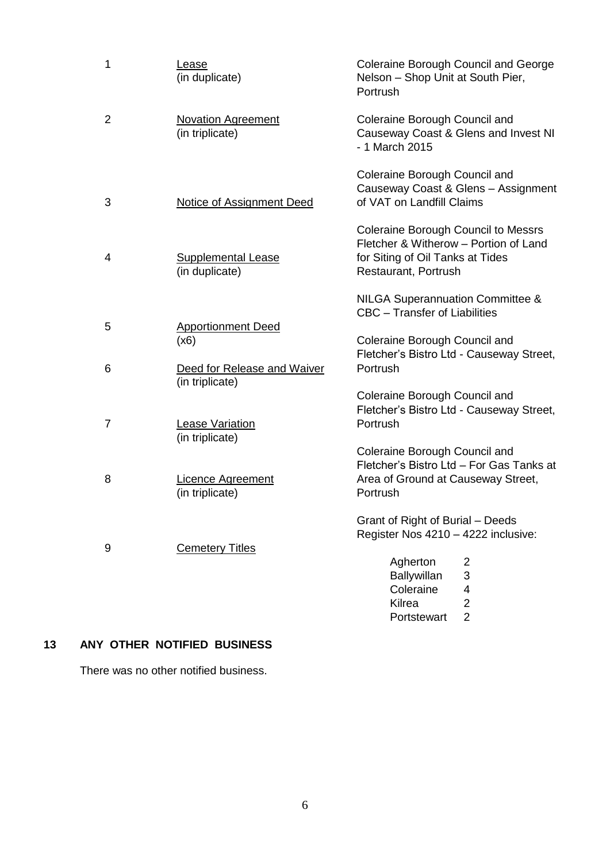| 1              | Lease<br>(in duplicate)                        | Coleraine Borough Council and George<br>Nelson - Shop Unit at South Pier,<br><b>Portrush</b>                                             |
|----------------|------------------------------------------------|------------------------------------------------------------------------------------------------------------------------------------------|
| $\overline{2}$ | <b>Novation Agreement</b><br>(in triplicate)   | Coleraine Borough Council and<br>Causeway Coast & Glens and Invest NI<br>- 1 March 2015                                                  |
| 3              | <b>Notice of Assignment Deed</b>               | Coleraine Borough Council and<br>Causeway Coast & Glens - Assignment<br>of VAT on Landfill Claims                                        |
| 4              | <b>Supplemental Lease</b><br>(in duplicate)    | Coleraine Borough Council to Messrs<br>Fletcher & Witherow - Portion of Land<br>for Siting of Oil Tanks at Tides<br>Restaurant, Portrush |
|                |                                                | <b>NILGA Superannuation Committee &amp;</b><br>CBC - Transfer of Liabilities                                                             |
| 5              | <b>Apportionment Deed</b><br>(x6)              | Coleraine Borough Council and<br>Fletcher's Bistro Ltd - Causeway Street,                                                                |
| 6              | Deed for Release and Waiver<br>(in triplicate) | Portrush                                                                                                                                 |
| 7              | <b>Lease Variation</b><br>(in triplicate)      | Coleraine Borough Council and<br>Fletcher's Bistro Ltd - Causeway Street,<br>Portrush                                                    |
|                |                                                | Coleraine Borough Council and                                                                                                            |
| 8              | Licence Agreement<br>(in triplicate)           | Fletcher's Bistro Ltd - For Gas Tanks at<br>Area of Ground at Causeway Street,<br>Portrush                                               |
|                |                                                | Grant of Right of Burial - Deeds<br>Register Nos 4210 - 4222 inclusive:                                                                  |
| 9              | <b>Cemetery Titles</b>                         | Agherton<br>2<br>3<br>Ballywillan<br>Coleraine<br>4<br>$\overline{2}$<br>Kilrea<br>$\overline{2}$<br>Portstewart                         |

# **13 ANY OTHER NOTIFIED BUSINESS**

There was no other notified business.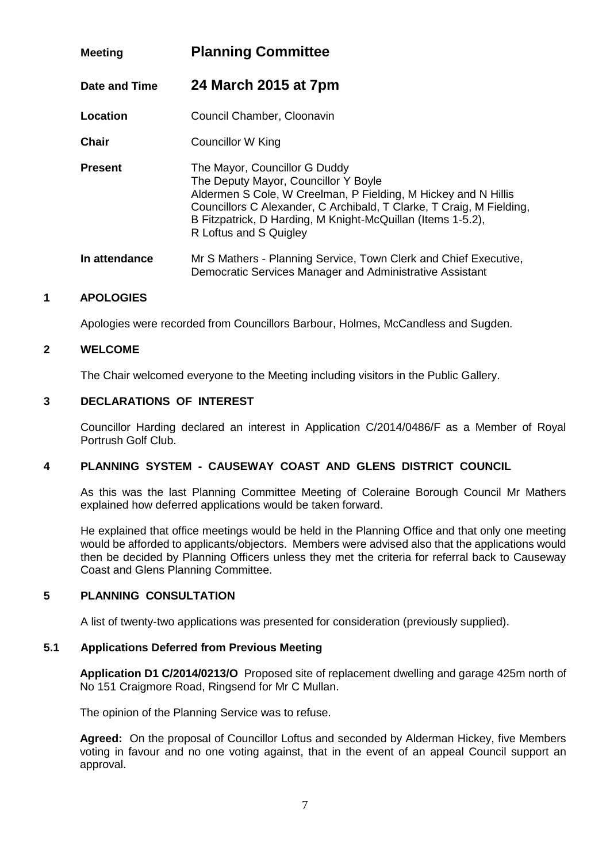| <b>Meeting</b> | <b>Planning Committee</b>                                                                                                                                                                                                                                                                                |  |
|----------------|----------------------------------------------------------------------------------------------------------------------------------------------------------------------------------------------------------------------------------------------------------------------------------------------------------|--|
| Date and Time  | 24 March 2015 at 7pm                                                                                                                                                                                                                                                                                     |  |
| Location       | Council Chamber, Cloonavin                                                                                                                                                                                                                                                                               |  |
| <b>Chair</b>   | Councillor W King                                                                                                                                                                                                                                                                                        |  |
| <b>Present</b> | The Mayor, Councillor G Duddy<br>The Deputy Mayor, Councillor Y Boyle<br>Aldermen S Cole, W Creelman, P Fielding, M Hickey and N Hillis<br>Councillors C Alexander, C Archibald, T Clarke, T Craig, M Fielding,<br>B Fitzpatrick, D Harding, M Knight-McQuillan (Items 1-5.2),<br>R Loftus and S Quigley |  |
| In attendance  | Mr S Mathers - Planning Service, Town Clerk and Chief Executive,<br>Democratic Services Manager and Administrative Assistant                                                                                                                                                                             |  |

# **1 APOLOGIES**

Apologies were recorded from Councillors Barbour, Holmes, McCandless and Sugden.

# **2 WELCOME**

The Chair welcomed everyone to the Meeting including visitors in the Public Gallery.

# **3 DECLARATIONS OF INTEREST**

Councillor Harding declared an interest in Application C/2014/0486/F as a Member of Royal Portrush Golf Club.

# **4 PLANNING SYSTEM - CAUSEWAY COAST AND GLENS DISTRICT COUNCIL**

As this was the last Planning Committee Meeting of Coleraine Borough Council Mr Mathers explained how deferred applications would be taken forward.

He explained that office meetings would be held in the Planning Office and that only one meeting would be afforded to applicants/objectors. Members were advised also that the applications would then be decided by Planning Officers unless they met the criteria for referral back to Causeway Coast and Glens Planning Committee.

# **5 PLANNING CONSULTATION**

A list of twenty-two applications was presented for consideration (previously supplied).

# **5.1 Applications Deferred from Previous Meeting**

**Application D1 C/2014/0213/O** Proposed site of replacement dwelling and garage 425m north of No 151 Craigmore Road, Ringsend for Mr C Mullan.

The opinion of the Planning Service was to refuse.

**Agreed:** On the proposal of Councillor Loftus and seconded by Alderman Hickey, five Members voting in favour and no one voting against, that in the event of an appeal Council support an approval.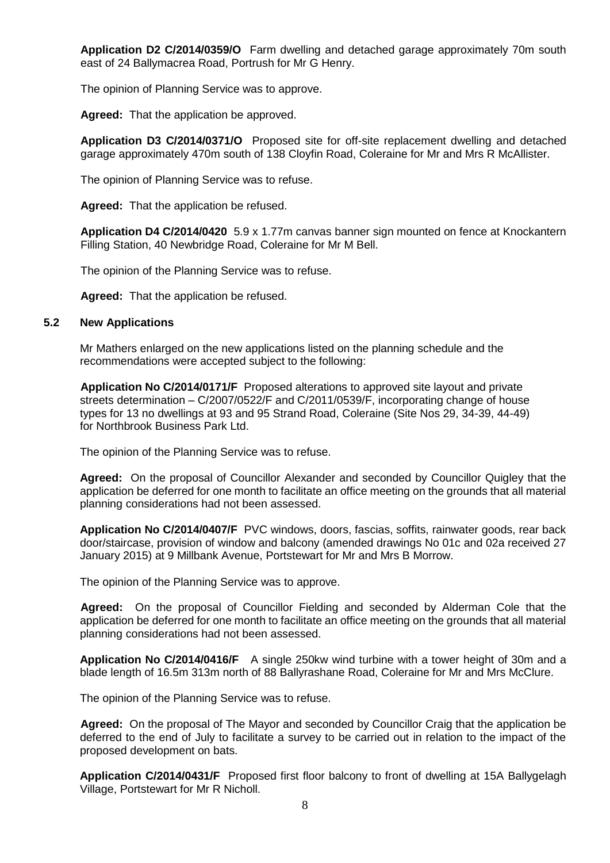**Application D2 C/2014/0359/O** Farm dwelling and detached garage approximately 70m south east of 24 Ballymacrea Road, Portrush for Mr G Henry.

The opinion of Planning Service was to approve.

**Agreed:** That the application be approved.

**Application D3 C/2014/0371/O** Proposed site for off-site replacement dwelling and detached garage approximately 470m south of 138 Cloyfin Road, Coleraine for Mr and Mrs R McAllister.

The opinion of Planning Service was to refuse.

**Agreed:** That the application be refused.

**Application D4 C/2014/0420** 5.9 x 1.77m canvas banner sign mounted on fence at Knockantern Filling Station, 40 Newbridge Road, Coleraine for Mr M Bell.

The opinion of the Planning Service was to refuse.

**Agreed:** That the application be refused.

#### **5.2 New Applications**

Mr Mathers enlarged on the new applications listed on the planning schedule and the recommendations were accepted subject to the following:

**Application No C/2014/0171/F** Proposed alterations to approved site layout and private streets determination – C/2007/0522/F and C/2011/0539/F, incorporating change of house types for 13 no dwellings at 93 and 95 Strand Road, Coleraine (Site Nos 29, 34-39, 44-49) for Northbrook Business Park Ltd.

The opinion of the Planning Service was to refuse.

**Agreed:** On the proposal of Councillor Alexander and seconded by Councillor Quigley that the application be deferred for one month to facilitate an office meeting on the grounds that all material planning considerations had not been assessed.

**Application No C/2014/0407/F** PVC windows, doors, fascias, soffits, rainwater goods, rear back door/staircase, provision of window and balcony (amended drawings No 01c and 02a received 27 January 2015) at 9 Millbank Avenue, Portstewart for Mr and Mrs B Morrow.

The opinion of the Planning Service was to approve.

**Agreed:** On the proposal of Councillor Fielding and seconded by Alderman Cole that the application be deferred for one month to facilitate an office meeting on the grounds that all material planning considerations had not been assessed.

**Application No C/2014/0416/F** A single 250kw wind turbine with a tower height of 30m and a blade length of 16.5m 313m north of 88 Ballyrashane Road, Coleraine for Mr and Mrs McClure.

The opinion of the Planning Service was to refuse.

**Agreed:** On the proposal of The Mayor and seconded by Councillor Craig that the application be deferred to the end of July to facilitate a survey to be carried out in relation to the impact of the proposed development on bats.

**Application C/2014/0431/F** Proposed first floor balcony to front of dwelling at 15A Ballygelagh Village, Portstewart for Mr R Nicholl.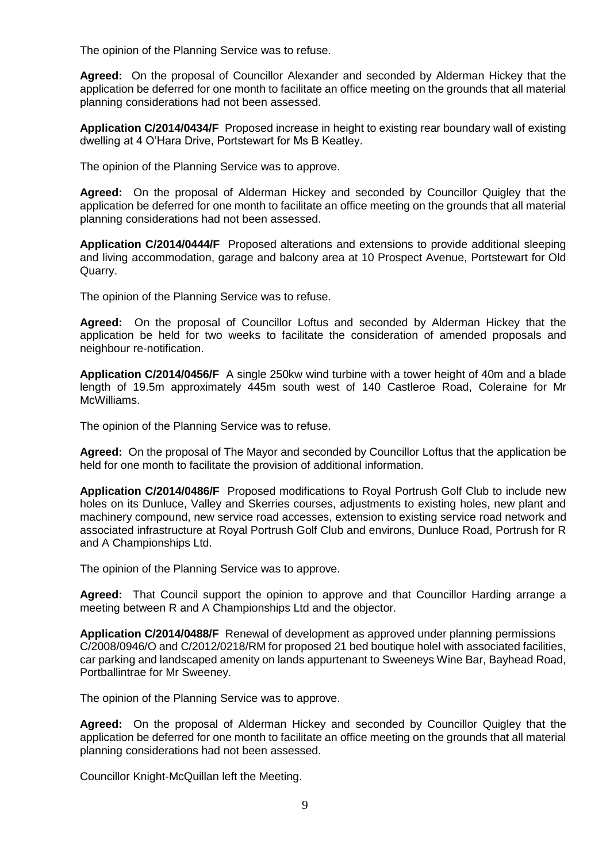The opinion of the Planning Service was to refuse.

**Agreed:** On the proposal of Councillor Alexander and seconded by Alderman Hickey that the application be deferred for one month to facilitate an office meeting on the grounds that all material planning considerations had not been assessed.

**Application C/2014/0434/F** Proposed increase in height to existing rear boundary wall of existing dwelling at 4 O'Hara Drive, Portstewart for Ms B Keatley.

The opinion of the Planning Service was to approve.

**Agreed:** On the proposal of Alderman Hickey and seconded by Councillor Quigley that the application be deferred for one month to facilitate an office meeting on the grounds that all material planning considerations had not been assessed.

**Application C/2014/0444/F** Proposed alterations and extensions to provide additional sleeping and living accommodation, garage and balcony area at 10 Prospect Avenue, Portstewart for Old Quarry.

The opinion of the Planning Service was to refuse.

**Agreed:** On the proposal of Councillor Loftus and seconded by Alderman Hickey that the application be held for two weeks to facilitate the consideration of amended proposals and neighbour re-notification.

**Application C/2014/0456/F** A single 250kw wind turbine with a tower height of 40m and a blade length of 19.5m approximately 445m south west of 140 Castleroe Road, Coleraine for Mr McWilliams.

The opinion of the Planning Service was to refuse.

**Agreed:** On the proposal of The Mayor and seconded by Councillor Loftus that the application be held for one month to facilitate the provision of additional information.

**Application C/2014/0486/F** Proposed modifications to Royal Portrush Golf Club to include new holes on its Dunluce, Valley and Skerries courses, adjustments to existing holes, new plant and machinery compound, new service road accesses, extension to existing service road network and associated infrastructure at Royal Portrush Golf Club and environs, Dunluce Road, Portrush for R and A Championships Ltd.

The opinion of the Planning Service was to approve.

**Agreed:** That Council support the opinion to approve and that Councillor Harding arrange a meeting between R and A Championships Ltd and the objector.

**Application C/2014/0488/F** Renewal of development as approved under planning permissions C/2008/0946/O and C/2012/0218/RM for proposed 21 bed boutique holel with associated facilities, car parking and landscaped amenity on lands appurtenant to Sweeneys Wine Bar, Bayhead Road, Portballintrae for Mr Sweeney.

The opinion of the Planning Service was to approve.

**Agreed:** On the proposal of Alderman Hickey and seconded by Councillor Quigley that the application be deferred for one month to facilitate an office meeting on the grounds that all material planning considerations had not been assessed.

Councillor Knight-McQuillan left the Meeting.